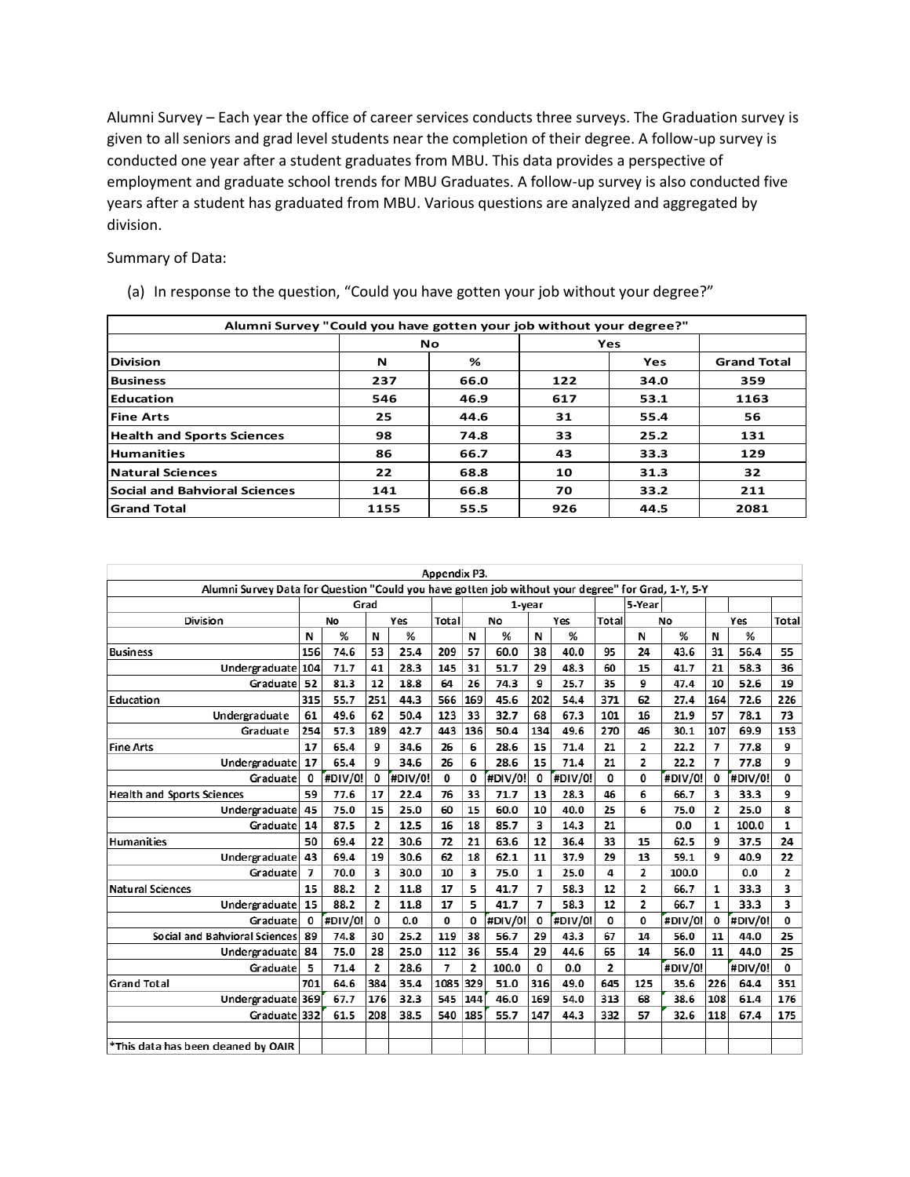Alumni Survey – Each year the office of career services conducts three surveys. The Graduation survey is given to all seniors and grad level students near the completion of their degree. A follow-up survey is conducted one year after a student graduates from MBU. This data provides a perspective of employment and graduate school trends for MBU Graduates. A follow-up survey is also conducted five years after a student has graduated from MBU. Various questions are analyzed and aggregated by division.

Summary of Data:

| (a) In response to the question, "Could you have gotten your job without your degree?" |  |  |
|----------------------------------------------------------------------------------------|--|--|
|                                                                                        |  |  |

| (a) In response to the question, "Could you have gotten your job without your degree?" |      |      |     |      |                    |  |  |  |  |  |  |  |  |
|----------------------------------------------------------------------------------------|------|------|-----|------|--------------------|--|--|--|--|--|--|--|--|
| Alumni Survey "Could you have gotten your job without your degree?"                    |      |      |     |      |                    |  |  |  |  |  |  |  |  |
|                                                                                        |      |      |     |      |                    |  |  |  |  |  |  |  |  |
| <b>Division</b>                                                                        | N    | %    |     | Yes  | <b>Grand Total</b> |  |  |  |  |  |  |  |  |
| <b>Business</b>                                                                        | 237  | 66.0 | 122 | 34.0 | 359                |  |  |  |  |  |  |  |  |
| <b>IEducation</b>                                                                      | 546  | 46.9 | 617 | 53.1 | 1163               |  |  |  |  |  |  |  |  |
| <b>Fine Arts</b>                                                                       | 25   | 44.6 | 31  | 55.4 | 56                 |  |  |  |  |  |  |  |  |
| <b>Health and Sports Sciences</b>                                                      | 98   | 74.8 | 33  | 25.2 | 131                |  |  |  |  |  |  |  |  |
| <b>Humanities</b>                                                                      | 86   | 66.7 | 43  | 33.3 | 129                |  |  |  |  |  |  |  |  |
| <b>Natural Sciences</b>                                                                | 22   | 68.8 | 10  | 31.3 | 32                 |  |  |  |  |  |  |  |  |
| <b>Social and Bahvioral Sciences</b>                                                   | 141  | 66.8 | 70  | 33.2 | 211                |  |  |  |  |  |  |  |  |
| <b>Grand Total</b>                                                                     | 1155 | 55.5 | 926 | 44.5 | 2081               |  |  |  |  |  |  |  |  |

| Appendix P3.                                                                                       |      |         |                |         |      |                |         |     |         |       |                |         |                |         |                |
|----------------------------------------------------------------------------------------------------|------|---------|----------------|---------|------|----------------|---------|-----|---------|-------|----------------|---------|----------------|---------|----------------|
| Alumni Survey Data for Question "Could you have gotten job without your degree" for Grad, 1-Y, 5-Y |      |         |                |         |      |                |         |     |         |       |                |         |                |         |                |
|                                                                                                    | Grad |         |                |         |      |                |         |     | 1-year  |       |                |         |                |         |                |
| <b>Division</b>                                                                                    |      | No      |                | Yes     |      |                | No      |     | Yes     | Total |                | No      | Yes            |         | <b>Total</b>   |
|                                                                                                    | N    |         |                | %       |      | N              | %       | N   | %       |       | N              | %       | N              | %       |                |
| <b>Business</b>                                                                                    | 156  | 74.6    | 53             | 25.4    | 209  | 57             | 60.0    | 38  | 40.0    | 95    | 24             | 43.6    | 31             | 56.4    | 55             |
| Undergraduate 104                                                                                  |      | 71.7    | 41             | 28.3    | 145  | 31             | 51.7    | 29  | 48.3    | 60    | 15             | 41.7    | 21             | 58.3    | 36             |
| Graduate                                                                                           | 52   | 81.3    | 12             | 18.8    | 64   | 26             | 74.3    | 9   | 25.7    | 35    | 9              | 47.4    | 10             | 52.6    | 19             |
| Education                                                                                          | 315  | 55.7    | 251            | 44.3    | 566  | 169            | 45.6    | 202 | 54.4    | 371   | 62             | 27.4    | 164            | 72.6    | 226            |
| Undergraduate                                                                                      | 61   | 49.6    | 62             | 50.4    | 123  | 33             | 32.7    | 68  | 67.3    | 101   | 16             | 21.9    | 57             | 78.1    | 73             |
| Graduate                                                                                           | 254  | 57.3    | 189            | 42.7    | 443  | 136            | 50.4    | 134 | 49.6    | 270   | 46             | 30.1    | 107            | 69.9    | 153            |
| <b>Fine Arts</b>                                                                                   | 17   | 65.4    | 9              | 34.6    | 26   | 6              | 28.6    | 15  | 71.4    | 21    | 2              | 22.2    | 7              | 77.8    | 9              |
| Undergraduate                                                                                      |      | 65.4    | 9              | 34.6    | 26   | 6              | 28.6    | 15  | 71.4    | 21    | $\overline{2}$ | 22.2    | 7              | 77.8    | 9              |
| Graduate                                                                                           |      | #DIV/0! | 0              | #DIV/0! | 0    | 0              | #DIV/0! | 0   | #DIV/0! | 0     | 0              | #DIV/0! | 0              | #DIV/0! | 0              |
| <b>Health and Sports Sciences</b>                                                                  |      | 77.6    | 17             | 22.4    | 76   | 33             | 71.7    | 13  | 28.3    | 46    | 6              | 66.7    | 3              | 33.3    | 9              |
| Undergraduate                                                                                      | 45   | 75.0    | 15             | 25.0    | 60   | 15             | 60.0    | 10  | 40.0    | 25    | 6              | 75.0    | $\overline{2}$ | 25.0    | 8              |
| Graduate                                                                                           | 14   | 87.5    | 2              | 12.5    | 16   | 18             | 85.7    | 3   | 14.3    | 21    |                | 0.0     | $\mathbf{1}$   | 100.0   | 1              |
| <b>Humanities</b>                                                                                  | 50   | 69.4    | 22             | 30.6    | 72   | 21             | 63.6    | 12  | 36.4    | 33    | 15             | 62.5    | 9              | 37.5    | 24             |
| Undergraduate                                                                                      | 43   | 69.4    | 19             | 30.6    | 62   | 18             | 62.1    | 11  | 37.9    | 29    | 13             | 59.1    | 9              | 40.9    | 22             |
| Graduate                                                                                           | 7    | 70.0    | 3              | 30.0    | 10   | 3              | 75.0    | 1   | 25.0    | 4     | $\overline{2}$ | 100.0   |                | 0.0     | $\overline{2}$ |
| <b>Natural Sciences</b>                                                                            | 15   | 88.2    | 2              | 11.8    | 17   | 5              | 41.7    | 7   | 58.3    | 12    | $\overline{2}$ | 66.7    | 1              | 33.3    | 3              |
| Undergraduate 15                                                                                   |      | 88.2    | $\overline{2}$ | 11.8    | 17   | 5              | 41.7    | 7   | 58.3    | 12    | $\overline{2}$ | 66.7    | 1              | 33.3    | 3              |
| Graduate                                                                                           | 0    | #DIV/0! | 0              | 0.0     | 0    | 0              | #DIV/0! | 0   | #DIV/0! | 0     | 0              | #DIV/0! | 0              | #DIV/0! | 0              |
| Social and Bahvioral Sciences                                                                      | 89   | 74.8    | 30             | 25.2    | 119  | 38             | 56.7    | 29  | 43.3    | 67    | 14             | 56.0    | 11             | 44.0    | 25             |
| Undergraduate                                                                                      | 84   | 75.0    | 28             | 25.0    | 112  | 36             | 55.4    | 29  | 44.6    | 65    | 14             | 56.0    | 11             | 44.0    | 25             |
| Graduate                                                                                           | 5.   | 71.4    | $\overline{2}$ | 28.6    | 7    | $\overline{2}$ | 100.0   | 0   | 0.0     | 2     |                | #DIV/0! |                | #DIV/0! | 0              |
| <b>Grand Total</b>                                                                                 | 701  | 64.6    | 384            | 35.4    | 1085 | 329            | 51.0    | 316 | 49.0    | 645   | 125            | 35.6    | 226            | 64.4    | 351            |
| Undergraduate 369                                                                                  |      | 67.7    | 176            | 32.3    | 545  | 144            | 46.0    | 169 | 54.0    | 313   | 68             | 38.6    | 108            | 61.4    | 176            |
| Graduate 332                                                                                       |      | 61.5    | 208            | 38.5    | 540  | 185            | 55.7    | 147 | 44.3    | 332   | 57             | 32.6    | 118            | 67.4    | 175            |
|                                                                                                    |      |         |                |         |      |                |         |     |         |       |                |         |                |         |                |
| *This data has been deaned by OAIR                                                                 |      |         |                |         |      |                |         |     |         |       |                |         |                |         |                |